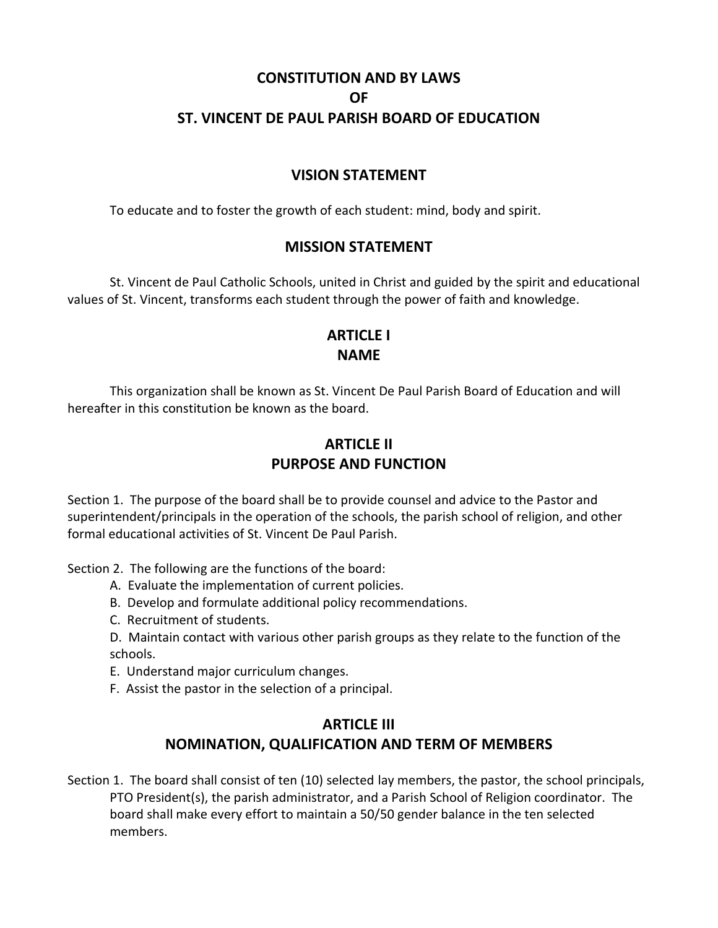# **CONSTITUTION AND BY LAWS OF ST. VINCENT DE PAUL PARISH BOARD OF EDUCATION**

### **VISION STATEMENT**

To educate and to foster the growth of each student: mind, body and spirit.

#### **MISSION STATEMENT**

St. Vincent de Paul Catholic Schools, united in Christ and guided by the spirit and educational values of St. Vincent, transforms each student through the power of faith and knowledge.

# **ARTICLE I NAME**

This organization shall be known as St. Vincent De Paul Parish Board of Education and will hereafter in this constitution be known as the board.

# **ARTICLE II PURPOSE AND FUNCTION**

Section 1. The purpose of the board shall be to provide counsel and advice to the Pastor and superintendent/principals in the operation of the schools, the parish school of religion, and other formal educational activities of St. Vincent De Paul Parish.

Section 2. The following are the functions of the board:

- A. Evaluate the implementation of current policies.
- B. Develop and formulate additional policy recommendations.
- C. Recruitment of students.

D. Maintain contact with various other parish groups as they relate to the function of the schools.

- E. Understand major curriculum changes.
- F. Assist the pastor in the selection of a principal.

### **ARTICLE III**

## **NOMINATION, QUALIFICATION AND TERM OF MEMBERS**

Section 1. The board shall consist of ten (10) selected lay members, the pastor, the school principals, PTO President(s), the parish administrator, and a Parish School of Religion coordinator. The board shall make every effort to maintain a 50/50 gender balance in the ten selected members.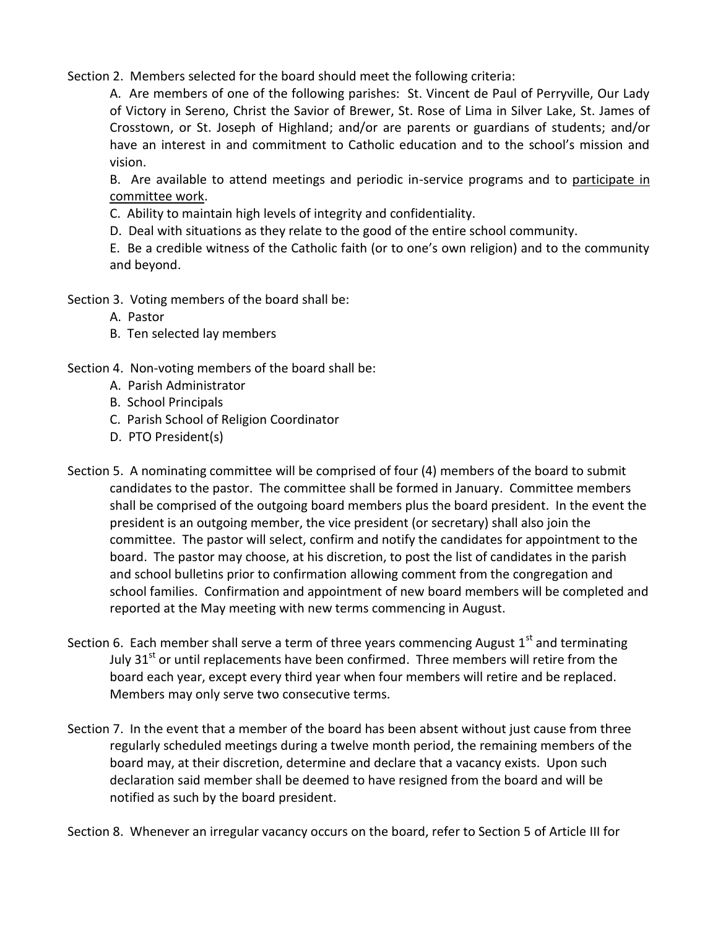Section 2. Members selected for the board should meet the following criteria:

A. Are members of one of the following parishes: St. Vincent de Paul of Perryville, Our Lady of Victory in Sereno, Christ the Savior of Brewer, St. Rose of Lima in Silver Lake, St. James of Crosstown, or St. Joseph of Highland; and/or are parents or guardians of students; and/or have an interest in and commitment to Catholic education and to the school's mission and vision.

B. Are available to attend meetings and periodic in-service programs and to participate in committee work.

- C. Ability to maintain high levels of integrity and confidentiality.
- D. Deal with situations as they relate to the good of the entire school community.

E. Be a credible witness of the Catholic faith (or to one's own religion) and to the community and beyond.

- Section 3. Voting members of the board shall be:
	- A. Pastor
	- B. Ten selected lay members
- Section 4. Non-voting members of the board shall be:
	- A. Parish Administrator
	- B. School Principals
	- C. Parish School of Religion Coordinator
	- D. PTO President(s)
- Section 5. A nominating committee will be comprised of four (4) members of the board to submit candidates to the pastor. The committee shall be formed in January. Committee members shall be comprised of the outgoing board members plus the board president. In the event the president is an outgoing member, the vice president (or secretary) shall also join the committee. The pastor will select, confirm and notify the candidates for appointment to the board. The pastor may choose, at his discretion, to post the list of candidates in the parish and school bulletins prior to confirmation allowing comment from the congregation and school families. Confirmation and appointment of new board members will be completed and reported at the May meeting with new terms commencing in August.
- Section 6. Each member shall serve a term of three years commencing August  $1<sup>st</sup>$  and terminating July  $31<sup>st</sup>$  or until replacements have been confirmed. Three members will retire from the board each year, except every third year when four members will retire and be replaced. Members may only serve two consecutive terms.
- Section 7. In the event that a member of the board has been absent without just cause from three regularly scheduled meetings during a twelve month period, the remaining members of the board may, at their discretion, determine and declare that a vacancy exists. Upon such declaration said member shall be deemed to have resigned from the board and will be notified as such by the board president.

Section 8. Whenever an irregular vacancy occurs on the board, refer to Section 5 of Article III for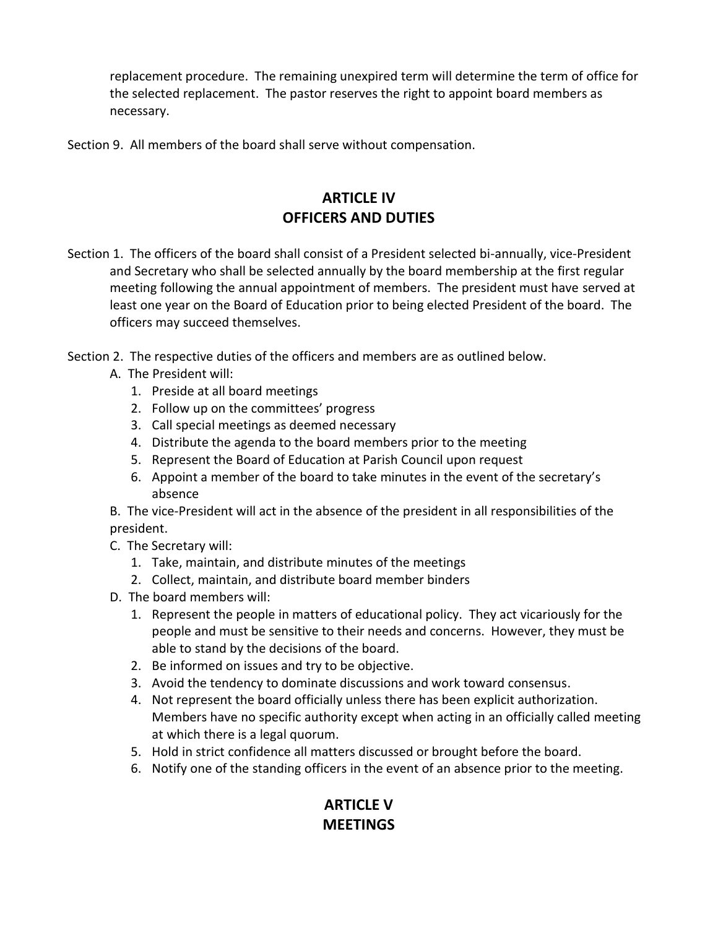replacement procedure. The remaining unexpired term will determine the term of office for the selected replacement. The pastor reserves the right to appoint board members as necessary.

Section 9. All members of the board shall serve without compensation.

# **ARTICLE IV OFFICERS AND DUTIES**

Section 1. The officers of the board shall consist of a President selected bi-annually, vice-President and Secretary who shall be selected annually by the board membership at the first regular meeting following the annual appointment of members. The president must have served at least one year on the Board of Education prior to being elected President of the board. The officers may succeed themselves.

Section 2. The respective duties of the officers and members are as outlined below.

- A. The President will:
	- 1. Preside at all board meetings
	- 2. Follow up on the committees' progress
	- 3. Call special meetings as deemed necessary
	- 4. Distribute the agenda to the board members prior to the meeting
	- 5. Represent the Board of Education at Parish Council upon request
	- 6. Appoint a member of the board to take minutes in the event of the secretary's absence

B. The vice-President will act in the absence of the president in all responsibilities of the president.

- C. The Secretary will:
	- 1. Take, maintain, and distribute minutes of the meetings
	- 2. Collect, maintain, and distribute board member binders
- D. The board members will:
	- 1. Represent the people in matters of educational policy. They act vicariously for the people and must be sensitive to their needs and concerns. However, they must be able to stand by the decisions of the board.
	- 2. Be informed on issues and try to be objective.
	- 3. Avoid the tendency to dominate discussions and work toward consensus.
	- 4. Not represent the board officially unless there has been explicit authorization. Members have no specific authority except when acting in an officially called meeting at which there is a legal quorum.
	- 5. Hold in strict confidence all matters discussed or brought before the board.
	- 6. Notify one of the standing officers in the event of an absence prior to the meeting.

# **ARTICLE V MEETINGS**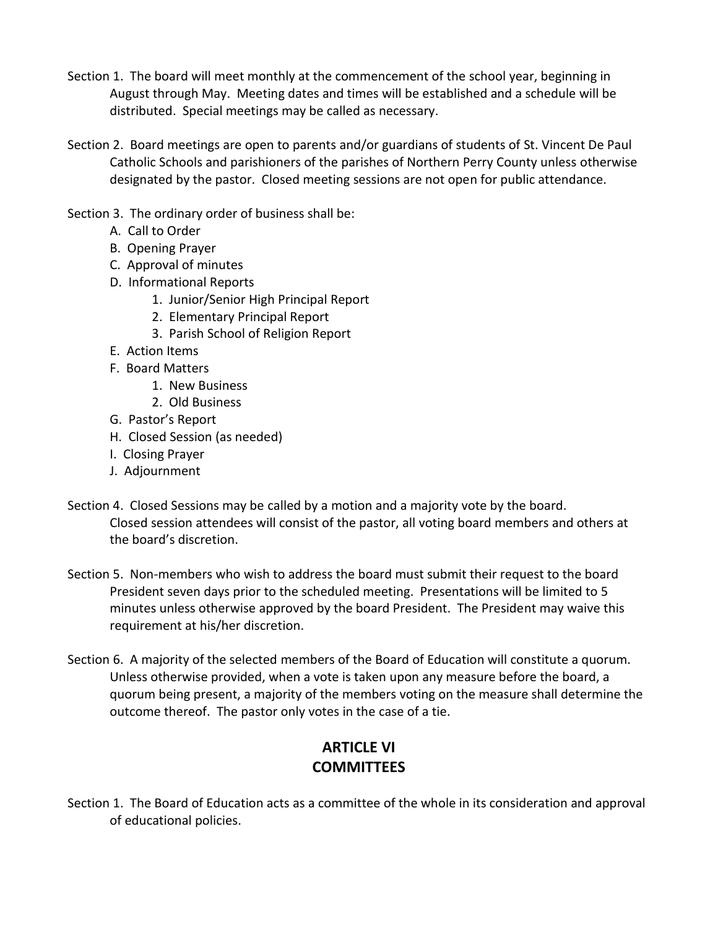- Section 1. The board will meet monthly at the commencement of the school year, beginning in August through May. Meeting dates and times will be established and a schedule will be distributed. Special meetings may be called as necessary.
- Section 2. Board meetings are open to parents and/or guardians of students of St. Vincent De Paul Catholic Schools and parishioners of the parishes of Northern Perry County unless otherwise designated by the pastor. Closed meeting sessions are not open for public attendance.
- Section 3. The ordinary order of business shall be:
	- A. Call to Order
	- B. Opening Prayer
	- C. Approval of minutes
	- D. Informational Reports
		- 1. Junior/Senior High Principal Report
		- 2. Elementary Principal Report
		- 3. Parish School of Religion Report
	- E. Action Items
	- F. Board Matters
		- 1. New Business
		- 2. Old Business
	- G. Pastor's Report
	- H. Closed Session (as needed)
	- I. Closing Prayer
	- J. Adjournment
- Section 4. Closed Sessions may be called by a motion and a majority vote by the board. Closed session attendees will consist of the pastor, all voting board members and others at the board's discretion.
- Section 5. Non-members who wish to address the board must submit their request to the board President seven days prior to the scheduled meeting. Presentations will be limited to 5 minutes unless otherwise approved by the board President. The President may waive this requirement at his/her discretion.
- Section 6. A majority of the selected members of the Board of Education will constitute a quorum. Unless otherwise provided, when a vote is taken upon any measure before the board, a quorum being present, a majority of the members voting on the measure shall determine the outcome thereof. The pastor only votes in the case of a tie.

# **ARTICLE VI COMMITTEES**

Section 1. The Board of Education acts as a committee of the whole in its consideration and approval of educational policies.